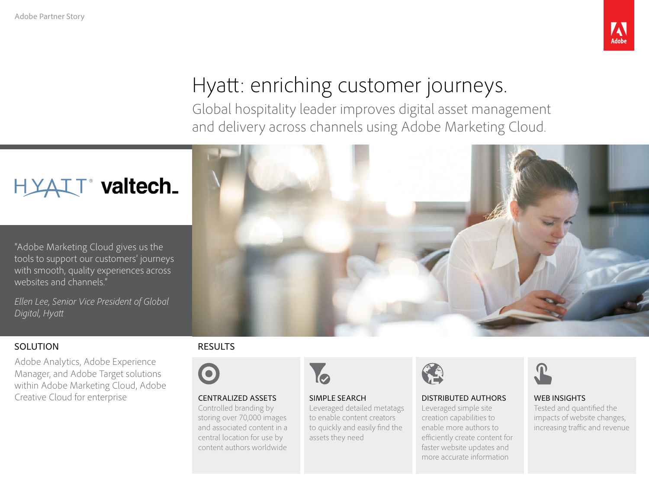

# Hyatt: enriching customer journeys.

Global hospitality leader improves digital asset management and delivery across channels using Adobe Marketing Cloud.



"Adobe Marketing Cloud gives us the tools to support our customers' journeys with smooth, quality experiences across websites and channels."

*Ellen Lee, Senior Vice President of Global Digital, Hyatt*

### SOLUTION

Adobe Analytics, Adobe Experience Manager, and Adobe Target solutions within Adobe Marketing Cloud, Adobe Creative Cloud for enterprise

#### RESULTS



#### CENTRALIZED ASSETS

Controlled branding by storing over 70,000 images and associated content in a central location for use by content authors worldwide



#### SIMPLE SEARCH Leveraged detailed metatags to enable content creators to quickly and easily find the assets they need



#### DISTRIBUTED AUTHORS

Leveraged simple site creation capabilities to enable more authors to efficiently create content for faster website updates and more accurate information



#### WEB INSIGHTS Tested and quantified the impacts of website changes, increasing traffic and revenue

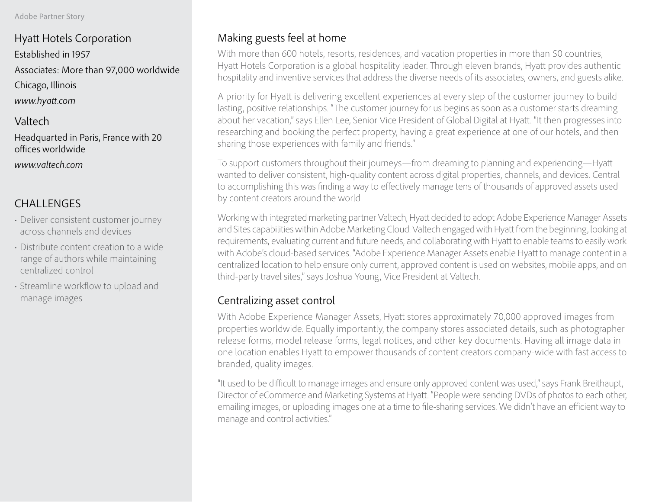Hyatt Hotels Corporation Established in 1957 Associates: More than 97,000 worldwide Chicago, Illinois *www.hyatt.com*

Valtech

Headquarted in Paris, France with 20 offices worldwide *www.valtech.com*

## CHALLENGES

- Deliver consistent customer journey across channels and devices
- Distribute content creation to a wide range of authors while maintaining centralized control
- Streamline workflow to upload and manage images

## Making guests feel at home

With more than 600 hotels, resorts, residences, and vacation properties in more than 50 countries, Hyatt Hotels Corporation is a global hospitality leader. Through eleven brands, Hyatt provides authentic hospitality and inventive services that address the diverse needs of its associates, owners, and guests alike.

A priority for Hyatt is delivering excellent experiences at every step of the customer journey to build lasting, positive relationships. "The customer journey for us begins as soon as a customer starts dreaming about her vacation," says Ellen Lee, Senior Vice President of Global Digital at Hyatt. "It then progresses into researching and booking the perfect property, having a great experience at one of our hotels, and then sharing those experiences with family and friends."

To support customers throughout their journeys—from dreaming to planning and experiencing—Hyatt wanted to deliver consistent, high-quality content across digital properties, channels, and devices. Central to accomplishing this was finding a way to effectively manage tens of thousands of approved assets used by content creators around the world.

Working with integrated marketing partner Valtech, Hyatt decided to adopt Adobe Experience Manager Assets and Sites capabilities within Adobe Marketing Cloud. Valtech engaged with Hyatt from the beginning, looking at requirements, evaluating current and future needs, and collaborating with Hyatt to enable teams to easily work with Adobe's cloud-based services. "Adobe Experience Manager Assets enable Hyatt to manage content in a centralized location to help ensure only current, approved content is used on websites, mobile apps, and on third-party travel sites," says Joshua Young, Vice President at Valtech.

## Centralizing asset control

With Adobe Experience Manager Assets, Hyatt stores approximately 70,000 approved images from properties worldwide. Equally importantly, the company stores associated details, such as photographer release forms, model release forms, legal notices, and other key documents. Having all image data in one location enables Hyatt to empower thousands of content creators company-wide with fast access to branded, quality images.

"It used to be difficult to manage images and ensure only approved content was used," says Frank Breithaupt, Director of eCommerce and Marketing Systems at Hyatt. "People were sending DVDs of photos to each other, emailing images, or uploading images one at a time to file-sharing services. We didn't have an efficient way to manage and control activities."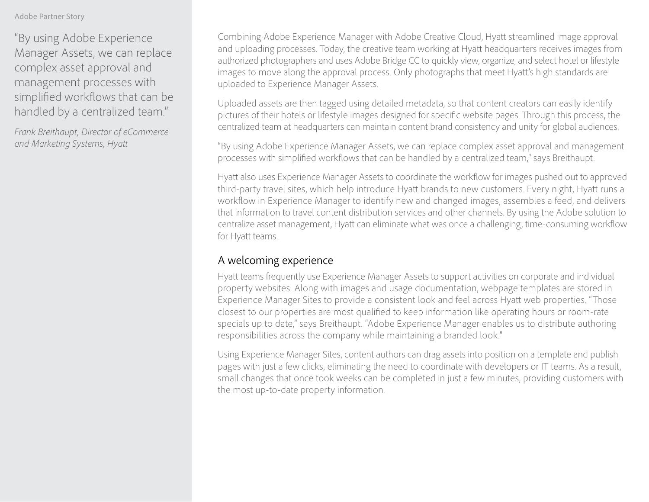#### Adobe Partner Story

"By using Adobe Experience Manager Assets, we can replace complex asset approval and management processes with simplified workflows that can be handled by a centralized team."

*Frank Breithaupt, Director of eCommerce and Marketing Systems, Hyatt* 

Combining Adobe Experience Manager with Adobe Creative Cloud, Hyatt streamlined image approval and uploading processes. Today, the creative team working at Hyatt headquarters receives images from authorized photographers and uses Adobe Bridge CC to quickly view, organize, and select hotel or lifestyle images to move along the approval process. Only photographs that meet Hyatt's high standards are uploaded to Experience Manager Assets.

Uploaded assets are then tagged using detailed metadata, so that content creators can easily identify pictures of their hotels or lifestyle images designed for specific website pages. Through this process, the centralized team at headquarters can maintain content brand consistency and unity for global audiences.

"By using Adobe Experience Manager Assets, we can replace complex asset approval and management processes with simplified workflows that can be handled by a centralized team," says Breithaupt.

Hyatt also uses Experience Manager Assets to coordinate the workflow for images pushed out to approved third-party travel sites, which help introduce Hyatt brands to new customers. Every night, Hyatt runs a workflow in Experience Manager to identify new and changed images, assembles a feed, and delivers that information to travel content distribution services and other channels. By using the Adobe solution to centralize asset management, Hyatt can eliminate what was once a challenging, time-consuming workflow for Hyatt teams.

## A welcoming experience

Hyatt teams frequently use Experience Manager Assets to support activities on corporate and individual property websites. Along with images and usage documentation, webpage templates are stored in Experience Manager Sites to provide a consistent look and feel across Hyatt web properties. "Those closest to our properties are most qualified to keep information like operating hours or room-rate specials up to date," says Breithaupt. "Adobe Experience Manager enables us to distribute authoring responsibilities across the company while maintaining a branded look."

Using Experience Manager Sites, content authors can drag assets into position on a template and publish pages with just a few clicks, eliminating the need to coordinate with developers or IT teams. As a result, small changes that once took weeks can be completed in just a few minutes, providing customers with the most up-to-date property information.